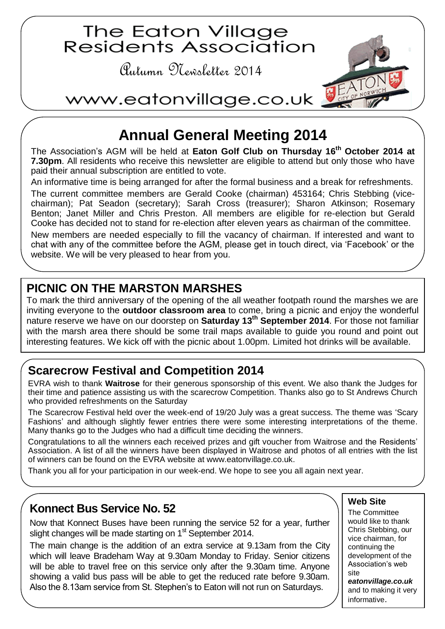

# **Annual General Meeting 2014**

The Association's AGM will be held at **Eaton Golf Club on Thursday 16th October 2014 at 7.30pm**. All residents who receive this newsletter are eligible to attend but only those who have paid their annual subscription are entitled to vote.

An informative time is being arranged for after the formal business and a break for refreshments.

The current committee members are Gerald Cooke (chairman) 453164; Chris Stebbing (vicechairman); Pat Seadon (secretary); Sarah Cross (treasurer); Sharon Atkinson; Rosemary Benton; Janet Miller and Chris Preston. All members are eligible for re-election but Gerald Cooke has decided not to stand for re-election after eleven years as chairman of the committee.

New members are needed especially to fill the vacancy of chairman. If interested and want to chat with any of the committee before the AGM, please get in touch direct, via 'Facebook' or the website. We will be very pleased to hear from you.

# **PICNIC ON THE MARSTON MARSHES**

To mark the third anniversary of the opening of the all weather footpath round the marshes we are inviting everyone to the **outdoor classroom area** to come, bring a picnic and enjoy the wonderful nature reserve we have on our doorstep on **Saturday 13th September 2014**. For those not familiar with the marsh area there should be some trail maps available to guide you round and point out interesting features. We kick off with the picnic about 1.00pm. Limited hot drinks will be available.

# **Scarecrow Festival and Competition 2014**

EVRA wish to thank **Waitrose** for their generous sponsorship of this event. We also thank the Judges for their time and patience assisting us with the scarecrow Competition. Thanks also go to St Andrews Church who provided refreshments on the Saturday

The Scarecrow Festival held over the week-end of 19/20 July was a great success. The theme was 'Scary Fashions' and although slightly fewer entries there were some interesting interpretations of the theme. Many thanks go to the Judges who had a difficult time deciding the winners.

Congratulations to all the winners each received prizes and gift voucher from Waitrose and the Residents' Association. A list of all the winners have been displayed in Waitrose and photos of all entries with the list of winners can be found on the EVRA website at [www.eatonvillage.co.uk.](http://www.eatonvillage.co.uk/)

Thank you all for your participation in our week-end. We hope to see you all again next year.

### **Konnect Bus Service No. 52**

Now that Konnect Buses have been running the service 52 for a year, further slight changes will be made starting on  $1<sup>st</sup>$  September 2014.

The main change is the addition of an extra service at 9.13am from the City which will leave Bradeham Way at 9.30am Monday to Friday. Senior citizens will be able to travel free on this service only after the 9.30am time. Anyone showing a valid bus pass will be able to get the reduced rate before 9.30am. Also the 8.13am service from St. Stephen's to Eaton will not run on Saturdays.

#### **Web Site**

The Committee would like to thank Chris Stebbing, our vice chairman, for continuing the development of the Association's web site *eatonvillage.co.uk* and to making it very informative.